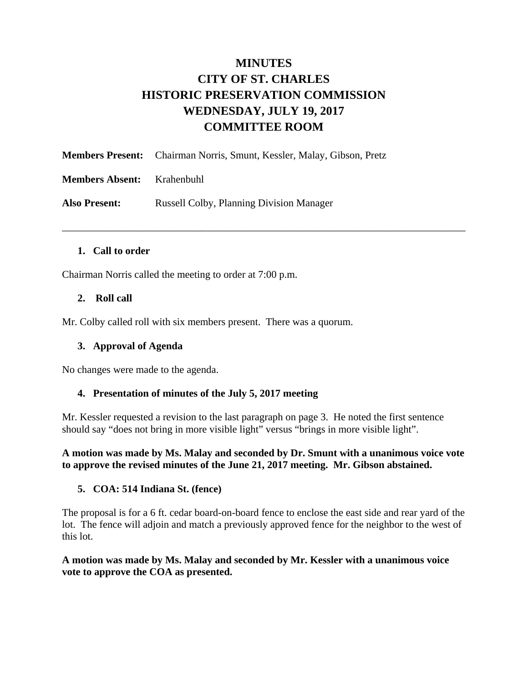# **MINUTES CITY OF ST. CHARLES HISTORIC PRESERVATION COMMISSION WEDNESDAY, JULY 19, 2017 COMMITTEE ROOM**

\_\_\_\_\_\_\_\_\_\_\_\_\_\_\_\_\_\_\_\_\_\_\_\_\_\_\_\_\_\_\_\_\_\_\_\_\_\_\_\_\_\_\_\_\_\_\_\_\_\_\_\_\_\_\_\_\_\_\_\_\_\_\_\_\_\_\_\_\_\_\_\_\_\_\_\_\_\_

|                                   | <b>Members Present:</b> Chairman Norris, Smunt, Kessler, Malay, Gibson, Pretz |
|-----------------------------------|-------------------------------------------------------------------------------|
| <b>Members Absent:</b> Krahenbuhl |                                                                               |
| <b>Also Present:</b>              | <b>Russell Colby, Planning Division Manager</b>                               |

## **1. Call to order**

Chairman Norris called the meeting to order at 7:00 p.m.

## **2. Roll call**

Mr. Colby called roll with six members present. There was a quorum.

### **3. Approval of Agenda**

No changes were made to the agenda.

### **4. Presentation of minutes of the July 5, 2017 meeting**

Mr. Kessler requested a revision to the last paragraph on page 3. He noted the first sentence should say "does not bring in more visible light" versus "brings in more visible light".

**A motion was made by Ms. Malay and seconded by Dr. Smunt with a unanimous voice vote to approve the revised minutes of the June 21, 2017 meeting. Mr. Gibson abstained.** 

### **5. COA: 514 Indiana St. (fence)**

The proposal is for a 6 ft. cedar board-on-board fence to enclose the east side and rear yard of the lot. The fence will adjoin and match a previously approved fence for the neighbor to the west of this lot.

## **A motion was made by Ms. Malay and seconded by Mr. Kessler with a unanimous voice vote to approve the COA as presented.**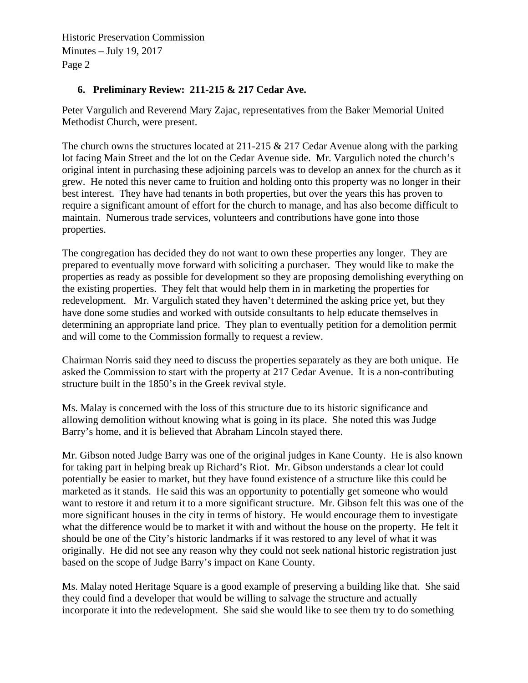Historic Preservation Commission Minutes – July 19, 2017 Page 2

# **6. Preliminary Review: 211-215 & 217 Cedar Ave.**

Peter Vargulich and Reverend Mary Zajac, representatives from the Baker Memorial United Methodist Church, were present.

The church owns the structures located at  $211$ -215 & 217 Cedar Avenue along with the parking lot facing Main Street and the lot on the Cedar Avenue side. Mr. Vargulich noted the church's original intent in purchasing these adjoining parcels was to develop an annex for the church as it grew. He noted this never came to fruition and holding onto this property was no longer in their best interest. They have had tenants in both properties, but over the years this has proven to require a significant amount of effort for the church to manage, and has also become difficult to maintain. Numerous trade services, volunteers and contributions have gone into those properties.

The congregation has decided they do not want to own these properties any longer. They are prepared to eventually move forward with soliciting a purchaser. They would like to make the properties as ready as possible for development so they are proposing demolishing everything on the existing properties. They felt that would help them in in marketing the properties for redevelopment. Mr. Vargulich stated they haven't determined the asking price yet, but they have done some studies and worked with outside consultants to help educate themselves in determining an appropriate land price. They plan to eventually petition for a demolition permit and will come to the Commission formally to request a review.

Chairman Norris said they need to discuss the properties separately as they are both unique. He asked the Commission to start with the property at 217 Cedar Avenue. It is a non-contributing structure built in the 1850's in the Greek revival style.

Ms. Malay is concerned with the loss of this structure due to its historic significance and allowing demolition without knowing what is going in its place. She noted this was Judge Barry's home, and it is believed that Abraham Lincoln stayed there.

Mr. Gibson noted Judge Barry was one of the original judges in Kane County. He is also known for taking part in helping break up Richard's Riot. Mr. Gibson understands a clear lot could potentially be easier to market, but they have found existence of a structure like this could be marketed as it stands. He said this was an opportunity to potentially get someone who would want to restore it and return it to a more significant structure. Mr. Gibson felt this was one of the more significant houses in the city in terms of history. He would encourage them to investigate what the difference would be to market it with and without the house on the property. He felt it should be one of the City's historic landmarks if it was restored to any level of what it was originally. He did not see any reason why they could not seek national historic registration just based on the scope of Judge Barry's impact on Kane County.

Ms. Malay noted Heritage Square is a good example of preserving a building like that. She said they could find a developer that would be willing to salvage the structure and actually incorporate it into the redevelopment. She said she would like to see them try to do something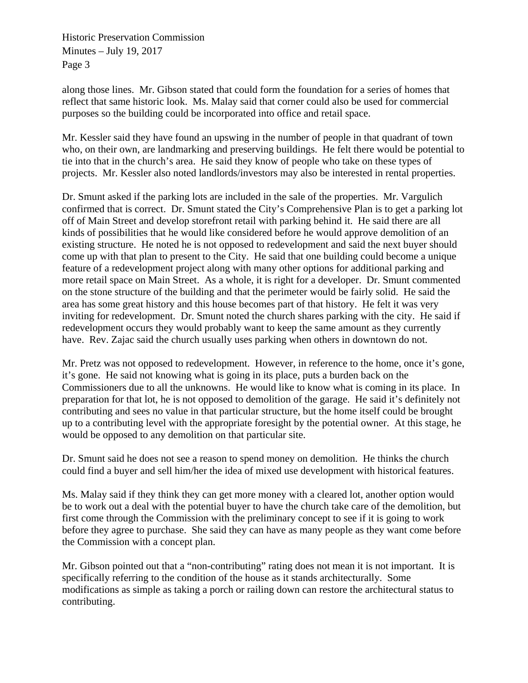Historic Preservation Commission Minutes – July 19, 2017 Page 3

along those lines. Mr. Gibson stated that could form the foundation for a series of homes that reflect that same historic look. Ms. Malay said that corner could also be used for commercial purposes so the building could be incorporated into office and retail space.

Mr. Kessler said they have found an upswing in the number of people in that quadrant of town who, on their own, are landmarking and preserving buildings. He felt there would be potential to tie into that in the church's area. He said they know of people who take on these types of projects. Mr. Kessler also noted landlords/investors may also be interested in rental properties.

Dr. Smunt asked if the parking lots are included in the sale of the properties. Mr. Vargulich confirmed that is correct. Dr. Smunt stated the City's Comprehensive Plan is to get a parking lot off of Main Street and develop storefront retail with parking behind it. He said there are all kinds of possibilities that he would like considered before he would approve demolition of an existing structure. He noted he is not opposed to redevelopment and said the next buyer should come up with that plan to present to the City. He said that one building could become a unique feature of a redevelopment project along with many other options for additional parking and more retail space on Main Street. As a whole, it is right for a developer. Dr. Smunt commented on the stone structure of the building and that the perimeter would be fairly solid. He said the area has some great history and this house becomes part of that history. He felt it was very inviting for redevelopment. Dr. Smunt noted the church shares parking with the city. He said if redevelopment occurs they would probably want to keep the same amount as they currently have. Rev. Zajac said the church usually uses parking when others in downtown do not.

Mr. Pretz was not opposed to redevelopment. However, in reference to the home, once it's gone, it's gone. He said not knowing what is going in its place, puts a burden back on the Commissioners due to all the unknowns. He would like to know what is coming in its place. In preparation for that lot, he is not opposed to demolition of the garage. He said it's definitely not contributing and sees no value in that particular structure, but the home itself could be brought up to a contributing level with the appropriate foresight by the potential owner. At this stage, he would be opposed to any demolition on that particular site.

Dr. Smunt said he does not see a reason to spend money on demolition. He thinks the church could find a buyer and sell him/her the idea of mixed use development with historical features.

Ms. Malay said if they think they can get more money with a cleared lot, another option would be to work out a deal with the potential buyer to have the church take care of the demolition, but first come through the Commission with the preliminary concept to see if it is going to work before they agree to purchase. She said they can have as many people as they want come before the Commission with a concept plan.

Mr. Gibson pointed out that a "non-contributing" rating does not mean it is not important. It is specifically referring to the condition of the house as it stands architecturally. Some modifications as simple as taking a porch or railing down can restore the architectural status to contributing.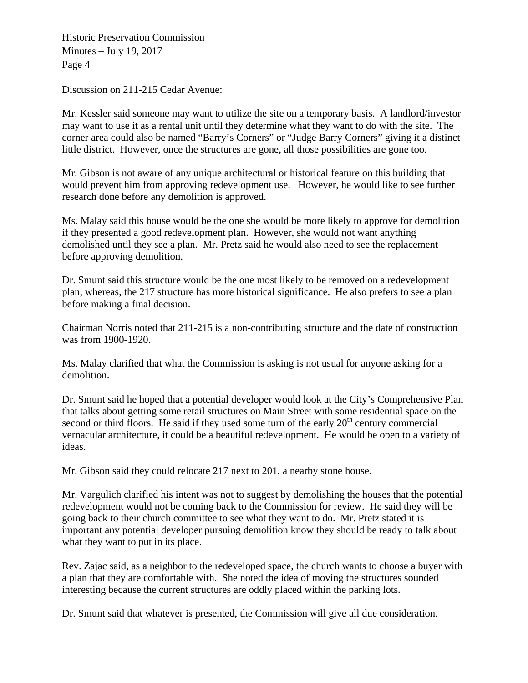Historic Preservation Commission Minutes – July 19, 2017 Page 4

Discussion on 211-215 Cedar Avenue:

Mr. Kessler said someone may want to utilize the site on a temporary basis. A landlord/investor may want to use it as a rental unit until they determine what they want to do with the site. The corner area could also be named "Barry's Corners" or "Judge Barry Corners" giving it a distinct little district. However, once the structures are gone, all those possibilities are gone too.

Mr. Gibson is not aware of any unique architectural or historical feature on this building that would prevent him from approving redevelopment use. However, he would like to see further research done before any demolition is approved.

Ms. Malay said this house would be the one she would be more likely to approve for demolition if they presented a good redevelopment plan. However, she would not want anything demolished until they see a plan. Mr. Pretz said he would also need to see the replacement before approving demolition.

Dr. Smunt said this structure would be the one most likely to be removed on a redevelopment plan, whereas, the 217 structure has more historical significance. He also prefers to see a plan before making a final decision.

Chairman Norris noted that 211-215 is a non-contributing structure and the date of construction was from 1900-1920.

Ms. Malay clarified that what the Commission is asking is not usual for anyone asking for a demolition.

Dr. Smunt said he hoped that a potential developer would look at the City's Comprehensive Plan that talks about getting some retail structures on Main Street with some residential space on the second or third floors. He said if they used some turn of the early  $20<sup>th</sup>$  century commercial vernacular architecture, it could be a beautiful redevelopment. He would be open to a variety of ideas.

Mr. Gibson said they could relocate 217 next to 201, a nearby stone house.

Mr. Vargulich clarified his intent was not to suggest by demolishing the houses that the potential redevelopment would not be coming back to the Commission for review. He said they will be going back to their church committee to see what they want to do. Mr. Pretz stated it is important any potential developer pursuing demolition know they should be ready to talk about what they want to put in its place.

Rev. Zajac said, as a neighbor to the redeveloped space, the church wants to choose a buyer with a plan that they are comfortable with. She noted the idea of moving the structures sounded interesting because the current structures are oddly placed within the parking lots.

Dr. Smunt said that whatever is presented, the Commission will give all due consideration.